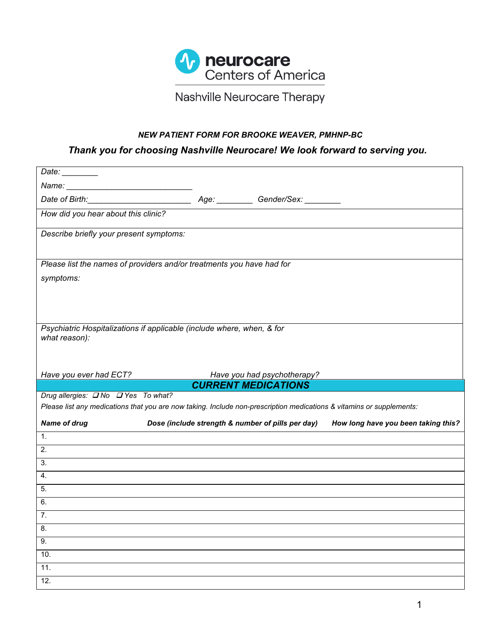

# Nashville Neurocare Therapy

## *NEW PATIENT FORM FOR BROOKE WEAVER, PMHNP-BC*

## *Thank you for choosing Nashville Neurocare! We look forward to serving you.*

| Date: $\_\_$                                                                                                                                                                                                                  |                                                   |                                                           |                                     |
|-------------------------------------------------------------------------------------------------------------------------------------------------------------------------------------------------------------------------------|---------------------------------------------------|-----------------------------------------------------------|-------------------------------------|
| Name: Name: Name: Name: Name: Name: Name: Name: Name: Name: Name: Name: Name: Name: Name: Name: Name: Name: Name: Name: Name: Name: Name: Name: Name: Name: Name: Name: Name: Name: Name: Name: Name: Name: Name: Name: Name: |                                                   |                                                           |                                     |
|                                                                                                                                                                                                                               |                                                   |                                                           |                                     |
| How did you hear about this clinic?                                                                                                                                                                                           |                                                   |                                                           |                                     |
| Describe briefly your present symptoms:                                                                                                                                                                                       |                                                   |                                                           |                                     |
| Please list the names of providers and/or treatments you have had for                                                                                                                                                         |                                                   |                                                           |                                     |
| symptoms:                                                                                                                                                                                                                     |                                                   |                                                           |                                     |
|                                                                                                                                                                                                                               |                                                   |                                                           |                                     |
|                                                                                                                                                                                                                               |                                                   |                                                           |                                     |
|                                                                                                                                                                                                                               |                                                   |                                                           |                                     |
| Psychiatric Hospitalizations if applicable (include where, when, & for<br>what reason):                                                                                                                                       |                                                   |                                                           |                                     |
|                                                                                                                                                                                                                               |                                                   |                                                           |                                     |
|                                                                                                                                                                                                                               |                                                   |                                                           |                                     |
| Have you ever had ECT?                                                                                                                                                                                                        |                                                   |                                                           |                                     |
|                                                                                                                                                                                                                               |                                                   |                                                           |                                     |
|                                                                                                                                                                                                                               |                                                   | Have you had psychotherapy?<br><b>CURRENT MEDICATIONS</b> |                                     |
| Drug allergies: <b>No</b> DYes To what?                                                                                                                                                                                       |                                                   |                                                           |                                     |
| Please list any medications that you are now taking. Include non-prescription medications & vitamins or supplements:                                                                                                          |                                                   |                                                           |                                     |
| <b>Name of drug</b>                                                                                                                                                                                                           | Dose (include strength & number of pills per day) |                                                           | How long have you been taking this? |
| 1.                                                                                                                                                                                                                            |                                                   |                                                           |                                     |
| 2.                                                                                                                                                                                                                            |                                                   |                                                           |                                     |
| 3.                                                                                                                                                                                                                            |                                                   |                                                           |                                     |
| 4.                                                                                                                                                                                                                            |                                                   |                                                           |                                     |
| 5.                                                                                                                                                                                                                            |                                                   |                                                           |                                     |
| 6.                                                                                                                                                                                                                            |                                                   |                                                           |                                     |
| 7.                                                                                                                                                                                                                            |                                                   |                                                           |                                     |
| 8.                                                                                                                                                                                                                            |                                                   |                                                           |                                     |
| 9.                                                                                                                                                                                                                            |                                                   |                                                           |                                     |
| 10.                                                                                                                                                                                                                           |                                                   |                                                           |                                     |
| 11.                                                                                                                                                                                                                           |                                                   |                                                           |                                     |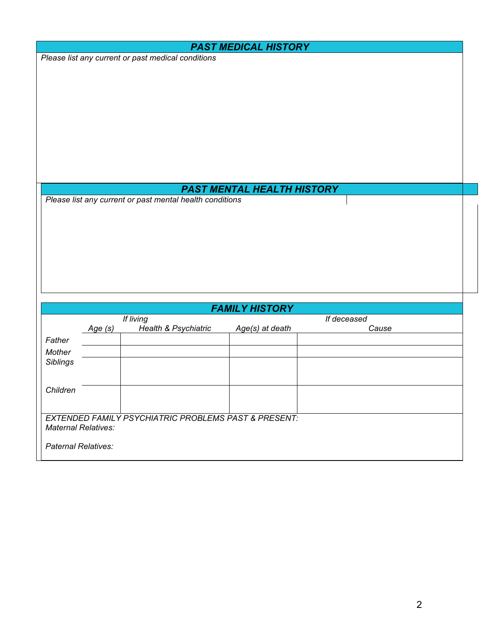|                            |         |                                                                 | <b>PAST MEDICAL HISTORY</b>       |              |  |
|----------------------------|---------|-----------------------------------------------------------------|-----------------------------------|--------------|--|
|                            |         | Please list any current or past medical conditions              |                                   |              |  |
|                            |         |                                                                 |                                   |              |  |
|                            |         |                                                                 |                                   |              |  |
|                            |         |                                                                 |                                   |              |  |
|                            |         |                                                                 |                                   |              |  |
|                            |         |                                                                 |                                   |              |  |
|                            |         |                                                                 |                                   |              |  |
|                            |         |                                                                 |                                   |              |  |
|                            |         |                                                                 |                                   |              |  |
|                            |         |                                                                 |                                   |              |  |
|                            |         |                                                                 |                                   |              |  |
|                            |         | Please list any current or past mental health conditions        | <b>PAST MENTAL HEALTH HISTORY</b> |              |  |
|                            |         |                                                                 |                                   |              |  |
|                            |         |                                                                 |                                   |              |  |
|                            |         |                                                                 |                                   |              |  |
|                            |         |                                                                 |                                   |              |  |
|                            |         |                                                                 |                                   |              |  |
|                            |         |                                                                 |                                   |              |  |
|                            |         |                                                                 |                                   |              |  |
|                            |         |                                                                 |                                   |              |  |
|                            |         |                                                                 | <b>FAMILY HISTORY</b>             |              |  |
|                            |         | If living                                                       |                                   | $H$ deceased |  |
|                            | Age (s) | Health & Psychiatric                                            | Age(s) at death                   | Cause        |  |
| Father                     |         |                                                                 |                                   |              |  |
| Mother<br>Siblings         |         |                                                                 |                                   |              |  |
|                            |         |                                                                 |                                   |              |  |
|                            |         |                                                                 |                                   |              |  |
| Children                   |         |                                                                 |                                   |              |  |
|                            |         |                                                                 |                                   |              |  |
|                            |         | <b>EXTENDED FAMILY PSYCHIATRIC PROBLEMS PAST &amp; PRESENT:</b> |                                   |              |  |
| <b>Maternal Relatives:</b> |         |                                                                 |                                   |              |  |
| <b>Paternal Relatives:</b> |         |                                                                 |                                   |              |  |
|                            |         |                                                                 |                                   |              |  |
|                            |         |                                                                 |                                   |              |  |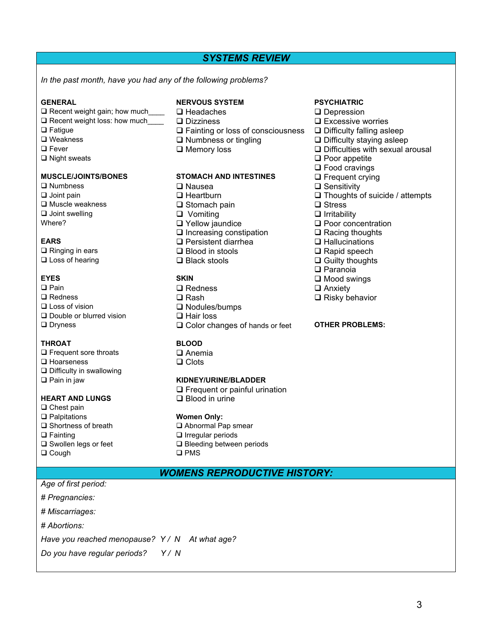## *SYSTEMS REVIEW*

*In the past month, have you had any of the following problems?*

- $\Box$  Recent weight gain; how much  $\Box$  Headaches  $\Box$  Depression
- $\Box$  Recent weight loss: how much  $\Box$  Dizziness  $\Box$  Excessive worries
- 
- 
- 
- 

- q Numbness q Nausea q Sensitivity q Muscle weakness q Stomach pain q Stress
- $\Box$  Joint swelling  $\Box$  Vomiting  $\Box$  Vertice  $\Box$  Irritability  $\Box$  Poor concentration  $\Box$  Internal  $\Box$  Poor concentration  $\Box$  Poor concentration  $\Box$  Poor concentration  $\Box$  Poor concentration  $\Box$  Poor concentratio

 $\square$  Ringing in ears  $\square$  Blood in stools  $\square$  Rapid speech

- 
- 
- 
- 
- 

## **THROAT BLOOD**

- $\Box$  Frequent sore throats  $\Box$  Anemia
- $\Box$  Hoarseness  $\Box$  Clots
- $\Box$  Difficulty in swallowing
- 

## **HEART AND LUNGS**

- $\Box$  Chest pain
- **Q Palpitations <b>Women Only:**<br> **Q Shortness of breath WAD** Abnormal Pa
- 
- 
- 
- $\square$  Cough

## **GENERAL NERVOUS SYSTEM PSYCHIATRIC**

- 
- 
- $\Box$  Fatigue  $\Box$  Fainting or loss of consciousness  $\Box$  Difficulty falling asleep  $\Box$  Weakness  $\Box$  Difficulty staving asleep
	-
	-

# **MUSCLE/JOINTS/BONES STOMACH AND INTESTINES Q** Frequent crying<br>
Q Nausea **Q Sensitivity**

- 
- 
- 
- 
- 
- $\Box$  Increasing constipation  $\Box$  Racing thoughts
- 
- 

**EYES SKIN** q Mood swings q Pain q Redness q Anxiety q Redness q Rash q Risky behavior  $\square$  Nodules/bumps **Q** Double or blurred vision **Q** Hair loss **Q** Dryness **Q** Dryness **Q** Color changes of hands or feet **OTHER PROBLEMS:** 

## q Pain in jaw **KIDNEY/URINE/BLADDER**

 $\square$  Frequent or painful urination<br> $\square$  Blood in urine

- $\Box$  Abnormal Pap smear  $\Box$  Fainting  $\Box$  Irregular periods
- **Q** Swollen legs or feet **Q** Bleeding between periods **Q** Cough

## *WOMENS REPRODUCTIVE HISTORY:*

- *Age of first period:*
- *# Pregnancies:*

*# Miscarriages:*

*# Abortions:*

*Have you reached menopause? Y / N At what age?*

*Do you have regular periods? Y / N* 

- 
- 
- 
- **Q** Weakness **Q** Numbness or tingling **Q** Difficulty staying asleep<br>
Q Fever **Q** Memory loss **Q** Difficulties with sexual a
- **Q** Fever **Q Memory loss Q** Difficulties with sexual arousal **Q** Night sexual arousal **Q** Difficulties with sexual arousal
	- $\Box$  Poor appetite
	- $\square$  Food cravings
	-
	-
- **Q** Joint pain  $\Box$  Thoughts of suicide / attempts  $\Box$  Thoughts of suicide / attempts  $\Box$  Thoughts of suicide / attempts  $\Box$  Stress
	-
	-
	- $\Box$  Yellow jaundice  $\Box$  Poor concentration
		-
- **EARS EARS EARS EARS EARS EARS EARS EARS EARS EARS EARS EARS EARS EARS EARS EARS EARS EARS EARS EARS EARS EARS EARS EARS EARS EARS EARS EARS EARS EARS EARS EARS** 
	-
- **Q** Loss of hearing  $\Box$  Black stools  $\Box$  Guilty thoughts
	- $\square$  Paranoia
	-
	-
	-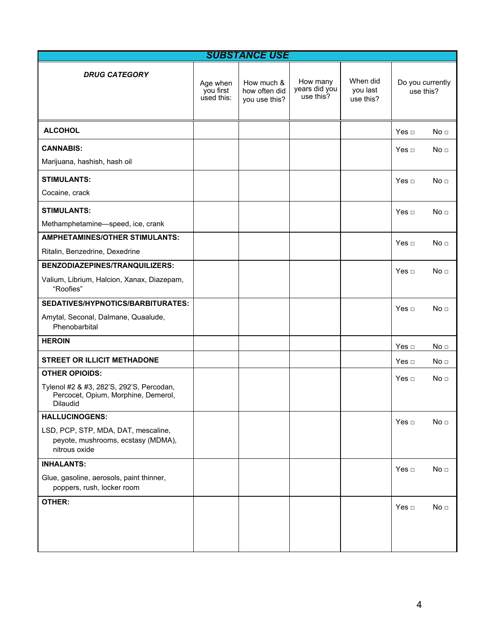|                                                                                             |                                     | <b>SUBSTANCE USE</b>                         |                                        |                                   |                  |                  |
|---------------------------------------------------------------------------------------------|-------------------------------------|----------------------------------------------|----------------------------------------|-----------------------------------|------------------|------------------|
| <b>DRUG CATEGORY</b>                                                                        | Age when<br>you first<br>used this: | How much &<br>how often did<br>you use this? | How many<br>years did you<br>use this? | When did<br>you last<br>use this? | use this?        | Do you currently |
| <b>ALCOHOL</b>                                                                              |                                     |                                              |                                        |                                   | Yes $\Box$       | No <sub>1</sub>  |
| <b>CANNABIS:</b>                                                                            |                                     |                                              |                                        |                                   | Yes □            | No <sub>1</sub>  |
| Marijuana, hashish, hash oil                                                                |                                     |                                              |                                        |                                   |                  |                  |
| <b>STIMULANTS:</b>                                                                          |                                     |                                              |                                        |                                   | Yes $\Box$       | No <sub>□</sub>  |
| Cocaine, crack                                                                              |                                     |                                              |                                        |                                   |                  |                  |
| <b>STIMULANTS:</b>                                                                          |                                     |                                              |                                        |                                   | Yes $\Box$       | No <sub>1</sub>  |
| Methamphetamine-speed, ice, crank                                                           |                                     |                                              |                                        |                                   |                  |                  |
| <b>AMPHETAMINES/OTHER STIMULANTS:</b>                                                       |                                     |                                              |                                        |                                   | Yes $\sqcap$     | No <sub>1</sub>  |
| Ritalin, Benzedrine, Dexedrine                                                              |                                     |                                              |                                        |                                   |                  |                  |
| BENZODIAZEPINES/TRANQUILIZERS:                                                              |                                     |                                              |                                        |                                   | Yes $\Box$       | No <sub>1</sub>  |
| Valium, Librium, Halcion, Xanax, Diazepam,<br>"Roofies"                                     |                                     |                                              |                                        |                                   |                  |                  |
| SEDATIVES/HYPNOTICS/BARBITURATES:                                                           |                                     |                                              |                                        |                                   | Yes $\Box$       | No <sub>1</sub>  |
| Amytal, Seconal, Dalmane, Quaalude,<br>Phenobarbital                                        |                                     |                                              |                                        |                                   |                  |                  |
| <b>HEROIN</b>                                                                               |                                     |                                              |                                        |                                   | Yes $\Box$       | No <sub>□</sub>  |
| <b>STREET OR ILLICIT METHADONE</b>                                                          |                                     |                                              |                                        |                                   | Yes $\Box$       | No <sub>1</sub>  |
| <b>OTHER OPIOIDS:</b>                                                                       |                                     |                                              |                                        |                                   | Yes <sub>□</sub> | No <sub>1</sub>  |
| Tylenol #2 & #3, 282'S, 292'S, Percodan,<br>Percocet, Opium, Morphine, Demerol,<br>Dilaudid |                                     |                                              |                                        |                                   |                  |                  |
| <b>HALLUCINOGENS:</b>                                                                       |                                     |                                              |                                        |                                   | Yes $\Box$       | No <sub>1</sub>  |
| LSD, PCP, STP, MDA, DAT, mescaline,<br>peyote, mushrooms, ecstasy (MDMA),<br>nitrous oxide  |                                     |                                              |                                        |                                   |                  |                  |
| <b>INHALANTS:</b>                                                                           |                                     |                                              |                                        |                                   | Yes $\Box$       | No <sub>1</sub>  |
| Glue, gasoline, aerosols, paint thinner,<br>poppers, rush, locker room                      |                                     |                                              |                                        |                                   |                  |                  |
| <b>OTHER:</b>                                                                               |                                     |                                              |                                        |                                   | Yes $\Box$       | No <sub>1</sub>  |
|                                                                                             |                                     |                                              |                                        |                                   |                  |                  |
|                                                                                             |                                     |                                              |                                        |                                   |                  |                  |
|                                                                                             |                                     |                                              |                                        |                                   |                  |                  |